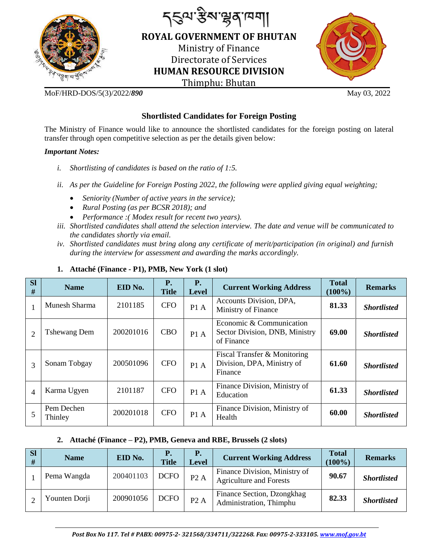

*৲ৼ*৽ৼৼ৻ৼ৻ৼ৻৸ **ROYAL GOVERNMENT OF BHUTAN**  Ministry of Finance Directorate of Services **HUMAN RESOURCE DIVISION** Thimphu: Bhutan



MoF/HRD-DOS/5(3)/2022/*890* May 03, 2022

# **Shortlisted Candidates for Foreign Posting**

The Ministry of Finance would like to announce the shortlisted candidates for the foreign posting on lateral transfer through open competitive selection as per the details given below:

### *Important Notes:*

- *i. Shortlisting of candidates is based on the ratio of 1:5.*
- *ii.* As per the Guideline for Foreign Posting 2022, the following were applied giving equal weighting;
	- *Seniority (Number of active years in the service);*
	- *Rural Posting (as per BCSR 2018); and*
	- *Performance :( Modex result for recent two years).*
- *iii. Shortlisted candidates shall attend the selection interview. The date and venue will be communicated to the candidates shortly via email.*
- *iv. Shortlisted candidates must bring along any certificate of merit/participation (in original) and furnish during the interview for assessment and awarding the marks accordingly.*

| <b>SI</b><br># | <b>Name</b>           | EID No.   | <b>P.</b><br><b>Title</b> | <b>P.</b><br><b>Level</b> | <b>Current Working Address</b>                                           | <b>Total</b><br>$(100\%)$ | <b>Remarks</b>     |
|----------------|-----------------------|-----------|---------------------------|---------------------------|--------------------------------------------------------------------------|---------------------------|--------------------|
|                | Munesh Sharma         | 2101185   | <b>CFO</b>                | P1 A                      | Accounts Division, DPA,<br>Ministry of Finance                           | 81.33                     | <b>Shortlisted</b> |
| $\overline{2}$ | <b>Tshewang Dem</b>   | 200201016 | <b>CBO</b>                | P1A                       | Economic & Communication<br>Sector Division, DNB, Ministry<br>of Finance | 69.00                     | <b>Shortlisted</b> |
| 3              | Sonam Tobgay          | 200501096 | <b>CFO</b>                | P1A                       | Fiscal Transfer & Monitoring<br>Division, DPA, Ministry of<br>Finance    | 61.60                     | <b>Shortlisted</b> |
| $\overline{4}$ | Karma Ugyen           | 2101187   | <b>CFO</b>                | P1A                       | Finance Division, Ministry of<br>Education                               | 61.33                     | <b>Shortlisted</b> |
| 5              | Pem Dechen<br>Thinley | 200201018 | <b>CFO</b>                | P1A                       | Finance Division, Ministry of<br>Health                                  | 60.00                     | <b>Shortlisted</b> |

## **1. Attaché (Finance - P1), PMB, New York (1 slot)**

## **2. Attaché (Finance – P2), PMB, Geneva and RBE, Brussels (2 slots)**

| <b>SI</b><br># | <b>Name</b>   | EID No.   | <b>Title</b> | <b>P.</b><br><b>Level</b> | <b>Current Working Address</b>                                  | <b>Total</b><br>$(100\%)$ | <b>Remarks</b>     |
|----------------|---------------|-----------|--------------|---------------------------|-----------------------------------------------------------------|---------------------------|--------------------|
|                | Pema Wangda   | 200401103 | <b>DCFO</b>  | P2A                       | Finance Division, Ministry of<br><b>Agriculture and Forests</b> | 90.67                     | <b>Shortlisted</b> |
|                | Younten Dorji | 200901056 | <b>DCFO</b>  | P2A                       | Finance Section, Dzongkhag<br>Administration, Thimphu           | 82.33                     | <b>Shortlisted</b> |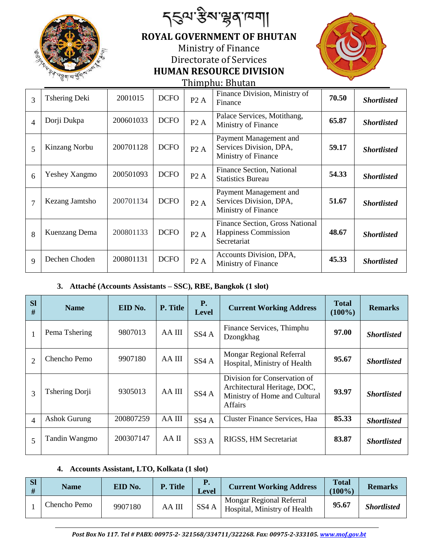|                |                       | <i>ॸ</i> ड़ॺॱॶॺॱॺॣॺॱॺॎॺऻ |                                |     |                                                                          |  |  |  |  |  |
|----------------|-----------------------|--------------------------|--------------------------------|-----|--------------------------------------------------------------------------|--|--|--|--|--|
|                |                       |                          |                                |     | <b>ROYAL GOVERNMENT OF BHUTAN</b>                                        |  |  |  |  |  |
|                |                       |                          |                                |     | Ministry of Finance                                                      |  |  |  |  |  |
|                |                       |                          |                                |     | Directorate of Services                                                  |  |  |  |  |  |
|                | Ray a dal di Balajore |                          | <b>HUMAN RESOURCE DIVISION</b> |     |                                                                          |  |  |  |  |  |
|                |                       |                          |                                |     | <u>Thimphu: Bhutan</u>                                                   |  |  |  |  |  |
| 3              | <b>Tshering Deki</b>  | 2001015                  | <b>DCFO</b>                    | P2A | Finance Division, Ministr<br>Finance                                     |  |  |  |  |  |
| $\overline{4}$ | Dorji Dukpa           | 200601033                | <b>DCFO</b>                    | P2A | Palace Services, Motithan<br>Ministry of Finance                         |  |  |  |  |  |
| 5              | Kinzang Norbu         | 200701128                | <b>DCFO</b>                    | P2A | Payment Management and<br>Services Division, DPA,<br>Ministry of Finance |  |  |  |  |  |
| 6              | Yeshey Xangmo         | 200501093                | <b>DCFO</b>                    | P2A | Finance Section, National<br><b>Statistics Bureau</b>                    |  |  |  |  |  |



| 3              | Tshering Deki        | 2001015   | <b>DCFO</b> | P2A | Finance Division, Ministry of<br>Finance                                 | 70.50 | <b>Shortlisted</b> |
|----------------|----------------------|-----------|-------------|-----|--------------------------------------------------------------------------|-------|--------------------|
| $\overline{4}$ | Dorji Dukpa          | 200601033 | <b>DCFO</b> | P2A | Palace Services, Motithang,<br>Ministry of Finance                       | 65.87 | <b>Shortlisted</b> |
| 5              | Kinzang Norbu        | 200701128 | <b>DCFO</b> | P2A | Payment Management and<br>Services Division, DPA,<br>Ministry of Finance | 59.17 | <b>Shortlisted</b> |
| 6              | <b>Yeshey Xangmo</b> | 200501093 | <b>DCFO</b> | P2A | Finance Section, National<br><b>Statistics Bureau</b>                    | 54.33 | <b>Shortlisted</b> |
| $\tau$         | Kezang Jamtsho       | 200701134 | <b>DCFO</b> | P2A | Payment Management and<br>Services Division, DPA,<br>Ministry of Finance | 51.67 | <b>Shortlisted</b> |
| 8              | <b>Kuenzang Dema</b> | 200801133 | <b>DCFO</b> | P2A | Finance Section, Gross National<br>Happiness Commission<br>Secretariat   | 48.67 | <b>Shortlisted</b> |
| $\mathbf Q$    | Dechen Choden        | 200801131 | <b>DCFO</b> | P2A | Accounts Division, DPA,<br>Ministry of Finance                           | 45.33 | <b>Shortlisted</b> |

### **3. Attaché (Accounts Assistants – SSC), RBE, Bangkok (1 slot)**

| <b>SI</b><br>#           | <b>Name</b>           | EID No.   | P. Title | <b>P.</b><br>Level | <b>Current Working Address</b>                                                                                  | <b>Total</b><br>$(100\%)$ | <b>Remarks</b>     |
|--------------------------|-----------------------|-----------|----------|--------------------|-----------------------------------------------------------------------------------------------------------------|---------------------------|--------------------|
|                          | Pema Tshering         | 9807013   | AA III   | SS <sub>4</sub> A  | Finance Services, Thimphu<br>Dzongkhag                                                                          | 97.00                     | <b>Shortlisted</b> |
| $\overline{2}$           | Chencho Pemo          | 9907180   | AA III   | SS <sub>4</sub> A  | Mongar Regional Referral<br>Hospital, Ministry of Health                                                        | 95.67                     | <b>Shortlisted</b> |
| 3                        | <b>Tshering Dorji</b> | 9305013   | AA III   | SS <sub>4</sub> A  | Division for Conservation of<br>Architectural Heritage, DOC,<br>Ministry of Home and Cultural<br><b>Affairs</b> | 93.97                     | <b>Shortlisted</b> |
| $\overline{\mathcal{A}}$ | <b>Ashok Gurung</b>   | 200807259 | AA III   | SS <sub>4</sub> A  | Cluster Finance Services, Haa                                                                                   | 85.33                     | <b>Shortlisted</b> |
| 5                        | Tandin Wangmo         | 200307147 | AA II    | SS3A               | RIGSS, HM Secretariat                                                                                           | 83.87                     | <b>Shortlisted</b> |

### **4. Accounts Assistant, LTO, Kolkata (1 slot)**

| <b>SI</b><br># | Name         | EID No. | P. Title | Р.<br><b>Level</b> | <b>Current Working Address</b>                           | <b>Total</b><br>$(100\%)$ | <b>Remarks</b>     |
|----------------|--------------|---------|----------|--------------------|----------------------------------------------------------|---------------------------|--------------------|
|                | Chencho Pemo | 9907180 | AA III   | SS <sub>4</sub> A  | Mongar Regional Referral<br>Hospital, Ministry of Health | 95.67                     | <b>Shortlisted</b> |